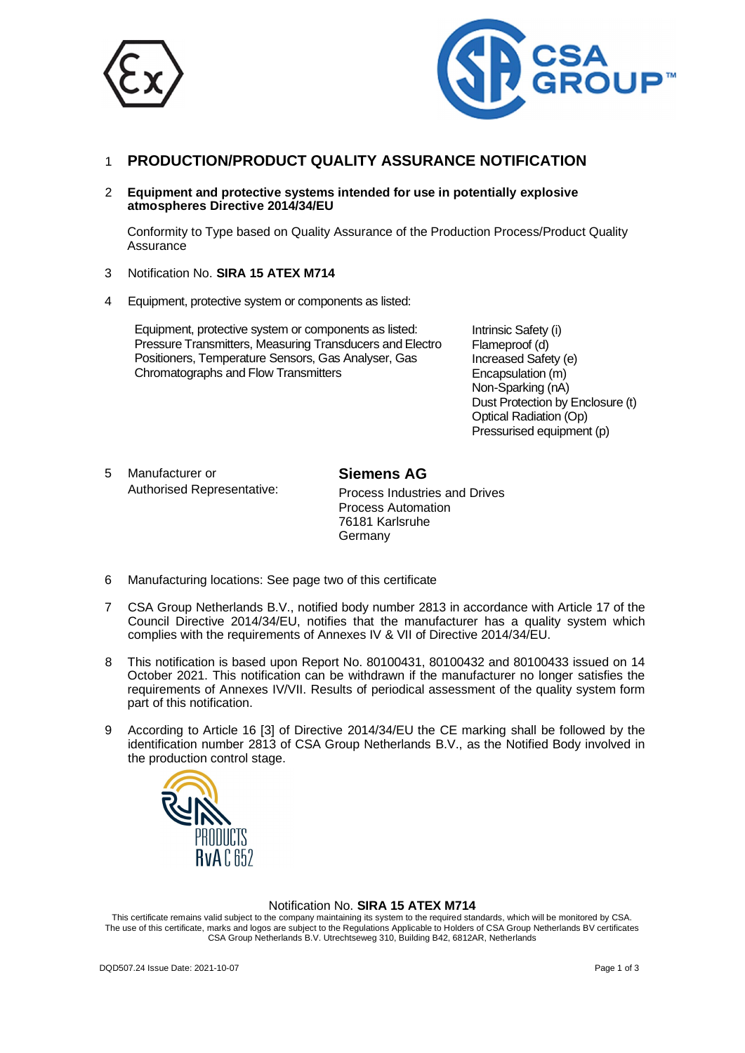



## 1 **PRODUCTION/PRODUCT QUALITY ASSURANCE NOTIFICATION**

2 **Equipment and protective systems intended for use in potentially explosive atmospheres Directive 2014/34/EU**

Conformity to Type based on Quality Assurance of the Production Process/Product Quality Assurance

- 3 Notification No. **SIRA 15 ATEX M714**
- 4 Equipment, protective system or components as listed:

Equipment, protective system or components as listed: Pressure Transmitters, Measuring Transducers and Electro Positioners, Temperature Sensors, Gas Analyser, Gas Chromatographs and Flow Transmitters

Intrinsic Safety (i) Flameproof (d) Increased Safety (e) Encapsulation (m) Non-Sparking (nA) Dust Protection by Enclosure (t) Optical Radiation (Op) Pressurised equipment (p)

 5 Manufacturer or Authorised Representative: **Siemens AG** Process Industries and Drives Process Automation 76181 Karlsruhe Germany

- 6 Manufacturing locations: See page two of this certificate
- 7 CSA Group Netherlands B.V., notified body number 2813 in accordance with Article 17 of the Council Directive 2014/34/EU, notifies that the manufacturer has a quality system which complies with the requirements of Annexes IV & VII of Directive 2014/34/EU.
- 8 This notification is based upon Report No. 80100431, 80100432 and 80100433 issued on 14 October 2021. This notification can be withdrawn if the manufacturer no longer satisfies the requirements of Annexes IV/VII. Results of periodical assessment of the quality system form part of this notification.
- 9 According to Article 16 [3] of Directive 2014/34/EU the CE marking shall be followed by the identification number 2813 of CSA Group Netherlands B.V., as the Notified Body involved in the production control stage.



#### Notification No. **SIRA 15 ATEX M714**

This certificate remains valid subject to the company maintaining its system to the required standards, which will be monitored by CSA. The use of this certificate, marks and logos are subject to the Regulations Applicable to Holders of CSA Group Netherlands BV certificates CSA Group Netherlands B.V. Utrechtseweg 310, Building B42, 6812AR, Netherlands